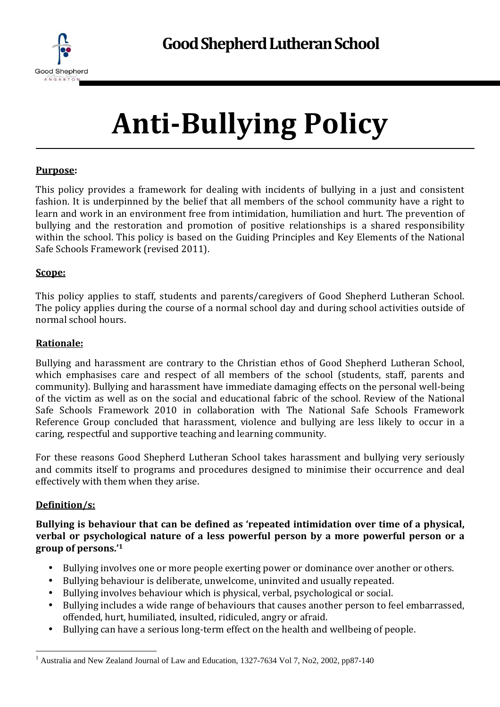

# **Anti-Bullying Policy**

#### **Purpose:**

This policy provides a framework for dealing with incidents of bullying in a just and consistent fashion. It is underpinned by the belief that all members of the school community have a right to learn and work in an environment free from intimidation, humiliation and hurt. The prevention of bullying and the restoration and promotion of positive relationships is a shared responsibility within the school. This policy is based on the Guiding Principles and Key Elements of the National Safe Schools Framework (revised 2011).

#### **Scope:**

This policy applies to staff, students and parents/caregivers of Good Shepherd Lutheran School. The policy applies during the course of a normal school day and during school activities outside of normal school hours.

#### **Rationale:**

Bullying and harassment are contrary to the Christian ethos of Good Shepherd Lutheran School, which emphasises care and respect of all members of the school (students, staff, parents and community). Bullying and harassment have immediate damaging effects on the personal well-being of the victim as well as on the social and educational fabric of the school. Review of the National Safe Schools Framework 2010 in collaboration with The National Safe Schools Framework Reference Group concluded that harassment, violence and bullying are less likely to occur in a caring, respectful and supportive teaching and learning community.

For these reasons Good Shepherd Lutheran School takes harassment and bullying very seriously and commits itself to programs and procedures designed to minimise their occurrence and deal effectively with them when they arise.

### **Definition/s:**

**Bullying is behaviour that can be defined as 'repeated intimidation over time of a physical, verbal or psychological nature of a less powerful person by a more powerful person or a group of persons.'<sup>1</sup>**

- Bullying involves one or more people exerting power or dominance over another or others.
- Bullying behaviour is deliberate, unwelcome, uninvited and usually repeated.
- Bullying involves behaviour which is physical, verbal, psychological or social.
- Bullying includes a wide range of behaviours that causes another person to feel embarrassed, offended, hurt, humiliated, insulted, ridiculed, angry or afraid.
- Bullying can have a serious long-term effect on the health and wellbeing of people.

 $\overline{a}$ <sup>1</sup> Australia and New Zealand Journal of Law and Education, 1327-7634 Vol 7, No2, 2002, pp87-140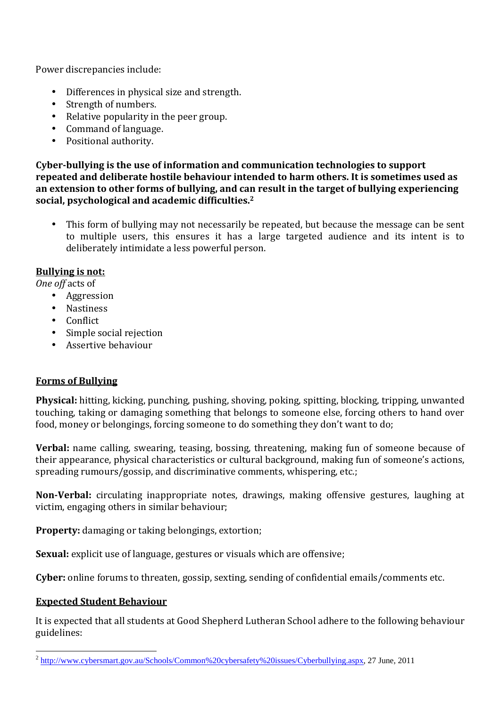Power discrepancies include:

- Differences in physical size and strength.
- Strength of numbers.
- Relative popularity in the peer group.
- Command of language.
- Positional authority.

**Cyber-bullying is the use of information and communication technologies to support repeated and deliberate hostile behaviour intended to harm others. It is sometimes used as an extension to other forms of bullying, and can result in the target of bullying experiencing social, psychological and academic difficulties.<sup>2</sup>**

• This form of bullying may not necessarily be repeated, but because the message can be sent to multiple users, this ensures it has a large targeted audience and its intent is to deliberately intimidate a less powerful person.

### **Bullying is not:**

*One off* acts of

- Aggression
- Nastiness
- Conflict
- Simple social rejection
- Assertive behaviour

### **Forms of Bullying**

**Physical:** hitting, kicking, punching, pushing, shoving, poking, spitting, blocking, tripping, unwanted touching, taking or damaging something that belongs to someone else, forcing others to hand over food, money or belongings, forcing someone to do something they don't want to do;

**Verbal:** name calling, swearing, teasing, bossing, threatening, making fun of someone because of their appearance, physical characteristics or cultural background, making fun of someone's actions, spreading rumours/gossip, and discriminative comments, whispering, etc.;

**Non-Verbal:** circulating inappropriate notes, drawings, making offensive gestures, laughing at victim, engaging others in similar behaviour;

**Property:** damaging or taking belongings, extortion;

**Sexual:** explicit use of language, gestures or visuals which are offensive;

**Cyber:** online forums to threaten, gossip, sexting, sending of confidential emails/comments etc.

### **Expected Student Behaviour**

It is expected that all students at Good Shepherd Lutheran School adhere to the following behaviour guidelines:

<sup>&</sup>lt;sup>2</sup> http://www.cybersmart.gov.au/Schools/Common%20cybersafety%20issues/Cyberbullying.aspx, 27 June, 2011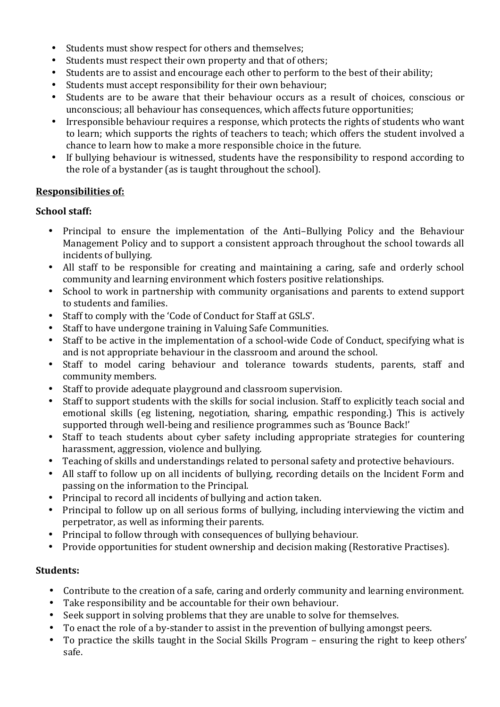- Students must show respect for others and themselves;
- Students must respect their own property and that of others;
- Students are to assist and encourage each other to perform to the best of their ability;
- Students must accept responsibility for their own behaviour;
- Students are to be aware that their behaviour occurs as a result of choices, conscious or unconscious; all behaviour has consequences, which affects future opportunities;
- Irresponsible behaviour requires a response, which protects the rights of students who want to learn; which supports the rights of teachers to teach; which offers the student involved a chance to learn how to make a more responsible choice in the future.
- If bullying behaviour is witnessed, students have the responsibility to respond according to the role of a bystander (as is taught throughout the school).

#### **Responsibilities of:**

#### **School staff:**

- Principal to ensure the implementation of the Anti–Bullying Policy and the Behaviour Management Policy and to support a consistent approach throughout the school towards all incidents of bullying.
- All staff to be responsible for creating and maintaining a caring, safe and orderly school community and learning environment which fosters positive relationships.
- School to work in partnership with community organisations and parents to extend support to students and families.
- Staff to comply with the 'Code of Conduct for Staff at GSLS'.
- Staff to have undergone training in Valuing Safe Communities.
- Staff to be active in the implementation of a school-wide Code of Conduct, specifying what is and is not appropriate behaviour in the classroom and around the school.
- Staff to model caring behaviour and tolerance towards students, parents, staff and community members.
- Staff to provide adequate playground and classroom supervision.
- Staff to support students with the skills for social inclusion. Staff to explicitly teach social and emotional skills (eg listening, negotiation, sharing, empathic responding.) This is actively supported through well-being and resilience programmes such as 'Bounce Back!'
- Staff to teach students about cyber safety including appropriate strategies for countering harassment, aggression, violence and bullying.
- Teaching of skills and understandings related to personal safety and protective behaviours.
- All staff to follow up on all incidents of bullying, recording details on the Incident Form and passing on the information to the Principal.
- Principal to record all incidents of bullying and action taken.
- Principal to follow up on all serious forms of bullying, including interviewing the victim and perpetrator, as well as informing their parents.
- Principal to follow through with consequences of bullying behaviour.
- Provide opportunities for student ownership and decision making (Restorative Practises).

#### **Students:**

- Contribute to the creation of a safe, caring and orderly community and learning environment.
- Take responsibility and be accountable for their own behaviour.
- Seek support in solving problems that they are unable to solve for themselves.
- To enact the role of a by-stander to assist in the prevention of bullying amongst peers.
- To practice the skills taught in the Social Skills Program ensuring the right to keep others' safe.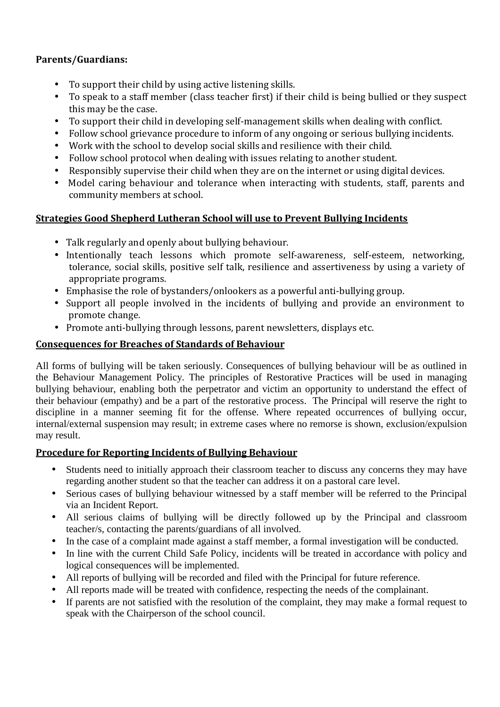### **Parents/Guardians:**

- To support their child by using active listening skills.
- To speak to a staff member (class teacher first) if their child is being bullied or they suspect this may be the case.
- To support their child in developing self-management skills when dealing with conflict.
- Follow school grievance procedure to inform of any ongoing or serious bullying incidents.
- Work with the school to develop social skills and resilience with their child.
- Follow school protocol when dealing with issues relating to another student.
- Responsibly supervise their child when they are on the internet or using digital devices.
- Model caring behaviour and tolerance when interacting with students, staff, parents and community members at school.

# **Strategies Good Shepherd Lutheran School will use to Prevent Bullying Incidents**

- Talk regularly and openly about bullying behaviour.
- Intentionally teach lessons which promote self-awareness, self-esteem, networking, tolerance, social skills, positive self talk, resilience and assertiveness by using a variety of appropriate programs.
- Emphasise the role of bystanders/onlookers as a powerful anti-bullying group.
- Support all people involved in the incidents of bullying and provide an environment to promote change.
- Promote anti-bullying through lessons, parent newsletters, displays etc.

## **Consequences for Breaches of Standards of Behaviour**

All forms of bullying will be taken seriously. Consequences of bullying behaviour will be as outlined in the Behaviour Management Policy. The principles of Restorative Practices will be used in managing bullying behaviour, enabling both the perpetrator and victim an opportunity to understand the effect of their behaviour (empathy) and be a part of the restorative process. The Principal will reserve the right to discipline in a manner seeming fit for the offense. Where repeated occurrences of bullying occur, internal/external suspension may result; in extreme cases where no remorse is shown, exclusion/expulsion may result.

### **Procedure for Reporting Incidents of Bullying Behaviour**

- Students need to initially approach their classroom teacher to discuss any concerns they may have regarding another student so that the teacher can address it on a pastoral care level.
- Serious cases of bullying behaviour witnessed by a staff member will be referred to the Principal via an Incident Report.
- All serious claims of bullying will be directly followed up by the Principal and classroom teacher/s, contacting the parents/guardians of all involved.
- In the case of a complaint made against a staff member, a formal investigation will be conducted.
- In line with the current Child Safe Policy, incidents will be treated in accordance with policy and logical consequences will be implemented.
- All reports of bullying will be recorded and filed with the Principal for future reference.
- All reports made will be treated with confidence, respecting the needs of the complainant.
- If parents are not satisfied with the resolution of the complaint, they may make a formal request to speak with the Chairperson of the school council.